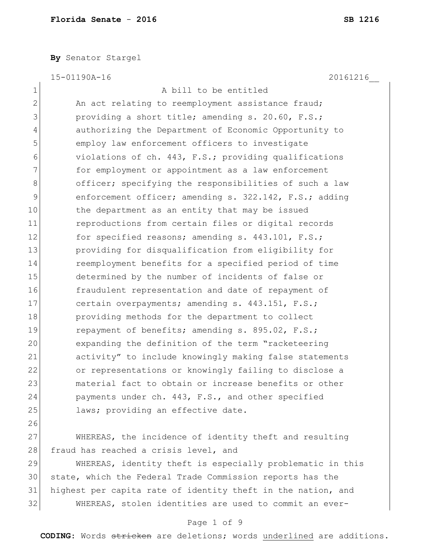**By** Senator Stargel

15-01190A-16 20161216\_\_

1 A bill to be entitled 2 An act relating to reemployment assistance fraud; 3 providing a short title; amending s. 20.60, F.S.; 4 authorizing the Department of Economic Opportunity to 5 **EXECUTE:** 5 employ law enforcement officers to investigate 6 violations of ch. 443, F.S.; providing qualifications 7 **for employment or appointment as a law enforcement** 8 officer; specifying the responsibilities of such a law 9 enforcement officer; amending s. 322.142, F.S.; adding 10 the department as an entity that may be issued 11 **11** reproductions from certain files or digital records 12 for specified reasons; amending s. 443.101, F.S.; 13 providing for disqualification from eligibility for 14 reemployment benefits for a specified period of time 15 determined by the number of incidents of false or 16 fraudulent representation and date of repayment of 17 certain overpayments; amending s. 443.151, F.S.; 18 providing methods for the department to collect 19 repayment of benefits; amending s. 895.02, F.S.; 20 expanding the definition of the term "racketeering 21 activity" to include knowingly making false statements 22 or representations or knowingly failing to disclose a 23 and material fact to obtain or increase benefits or other 24 payments under ch. 443, F.S., and other specified 25 laws; providing an effective date.

26

27 WHEREAS, the incidence of identity theft and resulting 28 fraud has reached a crisis level, and

 WHEREAS, identity theft is especially problematic in this state, which the Federal Trade Commission reports has the highest per capita rate of identity theft in the nation, and WHEREAS, stolen identities are used to commit an ever-

### Page 1 of 9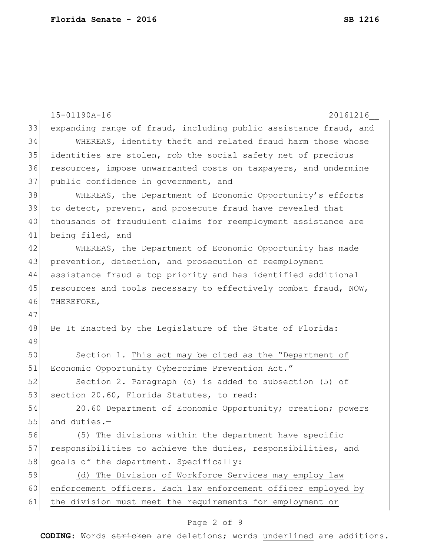|    | 15-01190A-16<br>20161216                                         |
|----|------------------------------------------------------------------|
| 33 | expanding range of fraud, including public assistance fraud, and |
| 34 | WHEREAS, identity theft and related fraud harm those whose       |
| 35 | identities are stolen, rob the social safety net of precious     |
| 36 | resources, impose unwarranted costs on taxpayers, and undermine  |
| 37 | public confidence in government, and                             |
| 38 | WHEREAS, the Department of Economic Opportunity's efforts        |
| 39 | to detect, prevent, and prosecute fraud have revealed that       |
| 40 | thousands of fraudulent claims for reemployment assistance are   |
| 41 | being filed, and                                                 |
| 42 | WHEREAS, the Department of Economic Opportunity has made         |
| 43 | prevention, detection, and prosecution of reemployment           |
| 44 | assistance fraud a top priority and has identified additional    |
| 45 | resources and tools necessary to effectively combat fraud, NOW,  |
| 46 | THEREFORE,                                                       |
| 47 |                                                                  |
| 48 | Be It Enacted by the Legislature of the State of Florida:        |
| 49 |                                                                  |
| 50 | Section 1. This act may be cited as the "Department of           |
| 51 | Economic Opportunity Cybercrime Prevention Act."                 |
| 52 | Section 2. Paragraph (d) is added to subsection (5) of           |
| 53 | section 20.60, Florida Statutes, to read:                        |
| 54 | 20.60 Department of Economic Opportunity; creation; powers       |
| 55 | and duties.-                                                     |
| 56 | (5) The divisions within the department have specific            |
| 57 | responsibilities to achieve the duties, responsibilities, and    |
| 58 | goals of the department. Specifically:                           |
| 59 | The Division of Workforce Services may employ law<br>(d)         |
| 60 | enforcement officers. Each law enforcement officer employed by   |
| 61 | the division must meet the requirements for employment or        |

# Page 2 of 9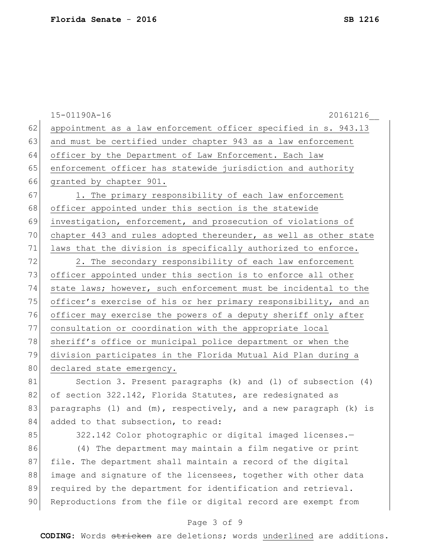|    | 15-01190A-16<br>20161216                                            |
|----|---------------------------------------------------------------------|
| 62 | appointment as a law enforcement officer specified in s. 943.13     |
| 63 | and must be certified under chapter 943 as a law enforcement        |
| 64 | officer by the Department of Law Enforcement. Each law              |
| 65 | enforcement officer has statewide jurisdiction and authority        |
| 66 | granted by chapter 901.                                             |
| 67 | 1. The primary responsibility of each law enforcement               |
| 68 | officer appointed under this section is the statewide               |
| 69 | investigation, enforcement, and prosecution of violations of        |
| 70 | chapter 443 and rules adopted thereunder, as well as other state    |
| 71 | laws that the division is specifically authorized to enforce.       |
| 72 | 2. The secondary responsibility of each law enforcement             |
| 73 | officer appointed under this section is to enforce all other        |
| 74 | state laws; however, such enforcement must be incidental to the     |
| 75 | officer's exercise of his or her primary responsibility, and an     |
| 76 | officer may exercise the powers of a deputy sheriff only after      |
| 77 | consultation or coordination with the appropriate local             |
| 78 | sheriff's office or municipal police department or when the         |
| 79 | division participates in the Florida Mutual Aid Plan during a       |
| 80 | declared state emergency.                                           |
| 81 | Section 3. Present paragraphs (k) and (1) of subsection (4)         |
| 82 | of section 322.142, Florida Statutes, are redesignated as           |
| 83 | paragraphs (1) and $(m)$ , respectively, and a new paragraph (k) is |
| 84 | added to that subsection, to read:                                  |
| 85 | 322.142 Color photographic or digital imaged licenses.-             |
| 86 | (4) The department may maintain a film negative or print            |
| 87 | file. The department shall maintain a record of the digital         |
| 88 | image and signature of the licensees, together with other data      |
| 89 | required by the department for identification and retrieval.        |
| 90 | Reproductions from the file or digital record are exempt from       |
|    |                                                                     |

# Page 3 of 9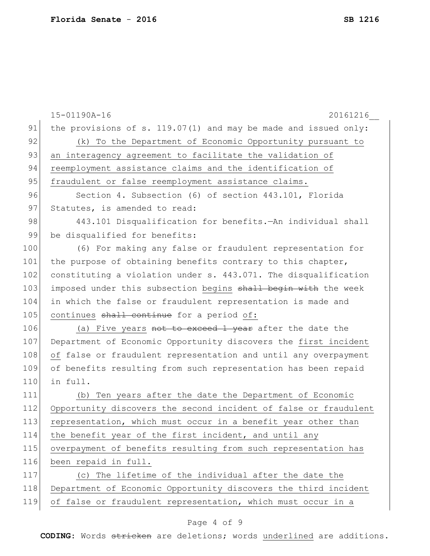|     | 15-01190A-16<br>20161216                                          |
|-----|-------------------------------------------------------------------|
| 91  | the provisions of s. $119.07(1)$ and may be made and issued only: |
| 92  | (k) To the Department of Economic Opportunity pursuant to         |
| 93  | an interagency agreement to facilitate the validation of          |
| 94  | reemployment assistance claims and the identification of          |
| 95  | fraudulent or false reemployment assistance claims.               |
| 96  | Section 4. Subsection (6) of section 443.101, Florida             |
| 97  | Statutes, is amended to read:                                     |
| 98  | 443.101 Disqualification for benefits. An individual shall        |
| 99  | be disqualified for benefits:                                     |
| 100 | (6) For making any false or fraudulent representation for         |
| 101 | the purpose of obtaining benefits contrary to this chapter,       |
| 102 | constituting a violation under s. 443.071. The disqualification   |
| 103 | imposed under this subsection begins shall begin with the week    |
| 104 | in which the false or fraudulent representation is made and       |
| 105 | continues shall continue for a period of:                         |
| 106 | (a) Five years not to exceed 1 year after the date the            |
| 107 | Department of Economic Opportunity discovers the first incident   |
| 108 | of false or fraudulent representation and until any overpayment   |
| 109 | of benefits resulting from such representation has been repaid    |
| 110 | in full.                                                          |
| 111 | (b) Ten years after the date the Department of Economic           |
| 112 | Opportunity discovers the second incident of false or fraudulent  |
| 113 | representation, which must occur in a benefit year other than     |
| 114 | the benefit year of the first incident, and until any             |
| 115 | overpayment of benefits resulting from such representation has    |
| 116 | been repaid in full.                                              |
| 117 | (c) The lifetime of the individual after the date the             |
| 118 | Department of Economic Opportunity discovers the third incident   |
| 119 | of false or fraudulent representation, which must occur in a      |
|     | Page 4 of 9                                                       |
|     |                                                                   |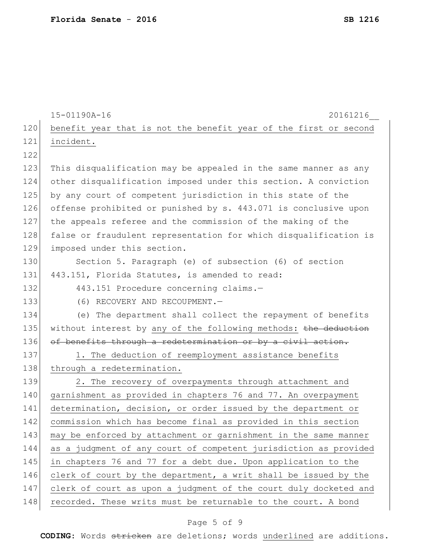|     | 15-01190A-16<br>20161216                                         |
|-----|------------------------------------------------------------------|
| 120 | benefit year that is not the benefit year of the first or second |
| 121 | incident.                                                        |
| 122 |                                                                  |
| 123 | This disqualification may be appealed in the same manner as any  |
| 124 | other disqualification imposed under this section. A conviction  |
| 125 | by any court of competent jurisdiction in this state of the      |
| 126 | offense prohibited or punished by s. 443.071 is conclusive upon  |
| 127 | the appeals referee and the commission of the making of the      |
| 128 | false or fraudulent representation for which disqualification is |
| 129 | imposed under this section.                                      |
| 130 | Section 5. Paragraph (e) of subsection (6) of section            |
| 131 | 443.151, Florida Statutes, is amended to read:                   |
| 132 | 443.151 Procedure concerning claims.-                            |
| 133 | (6) RECOVERY AND RECOUPMENT.-                                    |
| 134 | (e) The department shall collect the repayment of benefits       |
| 135 | without interest by any of the following methods: the deduction  |
| 136 | of benefits through a redetermination or by a civil action.      |
| 137 | 1. The deduction of reemployment assistance benefits             |
| 138 | through a redetermination.                                       |
| 139 | 2. The recovery of overpayments through attachment and           |
| 140 | garnishment as provided in chapters 76 and 77. An overpayment    |
| 141 | determination, decision, or order issued by the department or    |
| 142 | commission which has become final as provided in this section    |
| 143 | may be enforced by attachment or garnishment in the same manner  |
| 144 | as a judgment of any court of competent jurisdiction as provided |
| 145 | in chapters 76 and 77 for a debt due. Upon application to the    |
| 146 | clerk of court by the department, a writ shall be issued by the  |
| 147 | clerk of court as upon a judgment of the court duly docketed and |
| 148 | recorded. These writs must be returnable to the court. A bond    |

# Page 5 of 9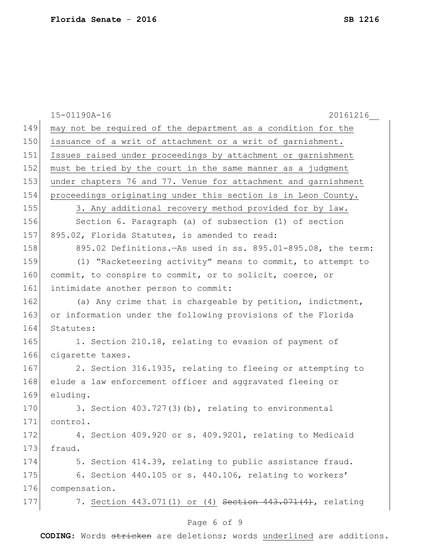|     | 20161216<br>15-01190A-16                                       |
|-----|----------------------------------------------------------------|
| 149 | may not be required of the department as a condition for the   |
| 150 | issuance of a writ of attachment or a writ of garnishment.     |
| 151 | Issues raised under proceedings by attachment or garnishment   |
| 152 | must be tried by the court in the same manner as a judgment    |
| 153 | under chapters 76 and 77. Venue for attachment and garnishment |
| 154 | proceedings originating under this section is in Leon County.  |
| 155 | 3. Any additional recovery method provided for by law.         |
| 156 | Section 6. Paragraph (a) of subsection (1) of section          |
| 157 | 895.02, Florida Statutes, is amended to read:                  |
| 158 | 895.02 Definitions. As used in ss. 895.01-895.08, the term:    |
| 159 | (1) "Racketeering activity" means to commit, to attempt to     |
| 160 | commit, to conspire to commit, or to solicit, coerce, or       |
| 161 | intimidate another person to commit:                           |
| 162 | (a) Any crime that is chargeable by petition, indictment,      |
| 163 | or information under the following provisions of the Florida   |
| 164 | Statutes:                                                      |
| 165 | 1. Section 210.18, relating to evasion of payment of           |
| 166 | cigarette taxes.                                               |
| 167 | 2. Section 316.1935, relating to fleeing or attempting to      |
| 168 | elude a law enforcement officer and aggravated fleeing or      |
| 169 | eluding.                                                       |
| 170 | 3. Section 403.727(3)(b), relating to environmental            |
| 171 | control.                                                       |
| 172 | 4. Section 409.920 or s. 409.9201, relating to Medicaid        |
| 173 | fraud.                                                         |
| 174 | 5. Section 414.39, relating to public assistance fraud.        |
| 175 | 6. Section 440.105 or s. 440.106, relating to workers'         |
| 176 | compensation.                                                  |
| 177 | 7. Section 443.071(1) or (4) Section 443.071(4), relating      |
|     | Page 6 of 9                                                    |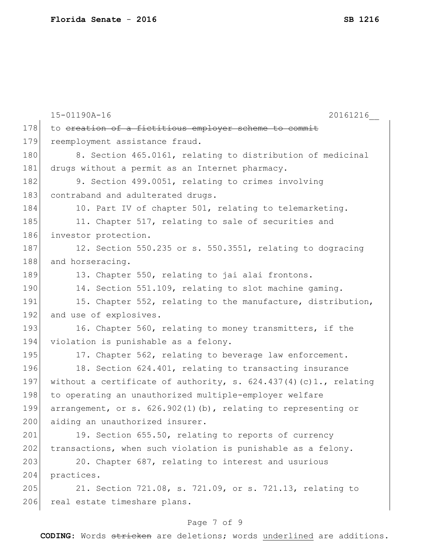|     | 15-01190A-16<br>20161216                                           |
|-----|--------------------------------------------------------------------|
| 178 | to ereation of a fictitious employer scheme to commit              |
| 179 | reemployment assistance fraud.                                     |
| 180 | 8. Section 465.0161, relating to distribution of medicinal         |
| 181 | drugs without a permit as an Internet pharmacy.                    |
| 182 | 9. Section 499.0051, relating to crimes involving                  |
| 183 | contraband and adulterated drugs.                                  |
| 184 | 10. Part IV of chapter 501, relating to telemarketing.             |
| 185 | 11. Chapter 517, relating to sale of securities and                |
| 186 | investor protection.                                               |
| 187 | 12. Section 550.235 or s. 550.3551, relating to dogracing          |
| 188 | and horseracing.                                                   |
| 189 | 13. Chapter 550, relating to jai alai frontons.                    |
| 190 | 14. Section 551.109, relating to slot machine gaming.              |
| 191 | 15. Chapter 552, relating to the manufacture, distribution,        |
| 192 | and use of explosives.                                             |
| 193 | 16. Chapter 560, relating to money transmitters, if the            |
| 194 | violation is punishable as a felony.                               |
| 195 | 17. Chapter 562, relating to beverage law enforcement.             |
| 196 | 18. Section 624.401, relating to transacting insurance             |
| 197 | without a certificate of authority, s. $624.437(4)(c)1.,$ relating |
| 198 | to operating an unauthorized multiple-employer welfare             |
| 199 | arrangement, or s. $626.902(1)(b)$ , relating to representing or   |
| 200 | aiding an unauthorized insurer.                                    |
| 201 | 19. Section 655.50, relating to reports of currency                |
| 202 | transactions, when such violation is punishable as a felony.       |
| 203 | 20. Chapter 687, relating to interest and usurious                 |
| 204 | practices.                                                         |
| 205 | 21. Section 721.08, s. 721.09, or s. 721.13, relating to           |
| 206 | real estate timeshare plans.                                       |

# Page 7 of 9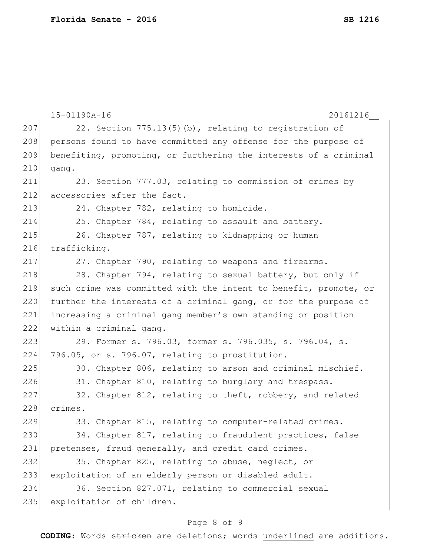15-01190A-16 20161216\_\_ 207 22. Section  $775.13(5)$  (b), relating to registration of 208 persons found to have committed any offense for the purpose of 209 benefiting, promoting, or furthering the interests of a criminal 210 gang. 211 23. Section 777.03, relating to commission of crimes by 212 accessories after the fact. 213 24. Chapter 782, relating to homicide. 214 25. Chapter 784, relating to assault and battery. 215 26. Chapter 787, relating to kidnapping or human 216 trafficking. 217 27. Chapter 790, relating to weapons and firearms. 218 28. Chapter 794, relating to sexual battery, but only if 219 such crime was committed with the intent to benefit, promote, or 220 further the interests of a criminal gang, or for the purpose of 221 increasing a criminal gang member's own standing or position 222 within a criminal gang. 223 29. Former s. 796.03, former s. 796.035, s. 796.04, s. 224 796.05, or s. 796.07, relating to prostitution. 225 30. Chapter 806, relating to arson and criminal mischief. 226 31. Chapter 810, relating to burglary and trespass.  $227$  32. Chapter 812, relating to theft, robbery, and related 228 crimes. 229 33. Chapter 815, relating to computer-related crimes. 230 34. Chapter 817, relating to fraudulent practices, false 231 pretenses, fraud generally, and credit card crimes. 232 35. Chapter 825, relating to abuse, neglect, or 233 exploitation of an elderly person or disabled adult. 234 36. Section 827.071, relating to commercial sexual 235 exploitation of children.

### Page 8 of 9